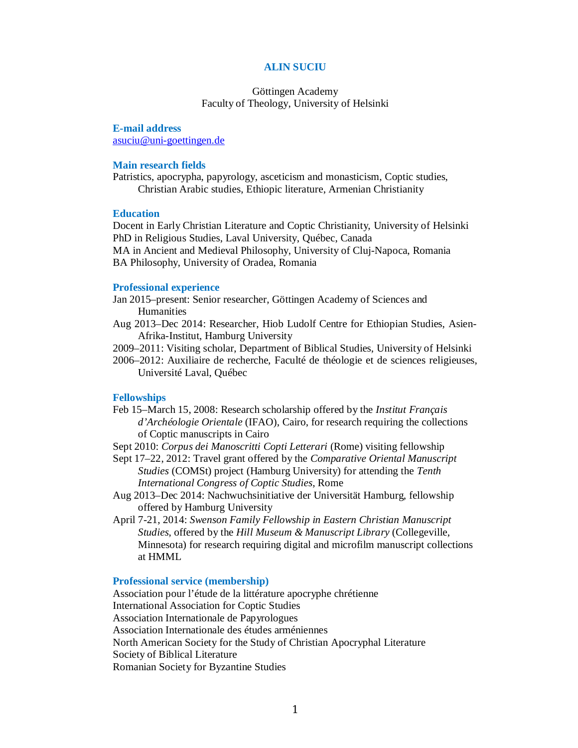# **ALIN SUCIU**

## Göttingen Academy Faculty of Theology, University of Helsinki

**E-mail address** asuciu@uni-goettingen.de

### **Main research fields**

Patristics, apocrypha, papyrology, asceticism and monasticism, Coptic studies, Christian Arabic studies, Ethiopic literature, Armenian Christianity

### **Education**

Docent in Early Christian Literature and Coptic Christianity, University of Helsinki PhD in Religious Studies, Laval University, Québec, Canada MA in Ancient and Medieval Philosophy, University of Cluj-Napoca, Romania BA Philosophy, University of Oradea, Romania

## **Professional experience**

Jan 2015–present: Senior researcher, Göttingen Academy of Sciences and Humanities

- Aug 2013–Dec 2014: Researcher, Hiob Ludolf Centre for Ethiopian Studies, Asien-Afrika-Institut, Hamburg University
- 2009–2011: Visiting scholar, Department of Biblical Studies, University of Helsinki
- 2006–2012: Auxiliaire de recherche, Faculté de théologie et de sciences religieuses, Université Laval, Québec

### **Fellowships**

Feb 15–March 15, 2008: Research scholarship offered by the *Institut Français d'Archéologie Orientale* (IFAO), Cairo, for research requiring the collections of Coptic manuscripts in Cairo

Sept 2010: *Corpus dei Manoscritti Copti Letterari* (Rome) visiting fellowship

- Sept 17–22, 2012: Travel grant offered by the *Comparative Oriental Manuscript Studies* (COMSt) project (Hamburg University) for attending the *Tenth International Congress of Coptic Studies*, Rome
- Aug 2013–Dec 2014: Nachwuchsinitiative der Universität Hamburg, fellowship offered by Hamburg University
- April 7-21, 2014: *Swenson Family Fellowship in Eastern Christian Manuscript Studies*, offered by the *Hill Museum & Manuscript Library* (Collegeville, Minnesota) for research requiring digital and microfilm manuscript collections at HMML

# **Professional service (membership)**

Association pour l'étude de la littérature apocryphe chrétienne International Association for Coptic Studies Association Internationale de Papyrologues Association Internationale des études arméniennes North American Society for the Study of Christian Apocryphal Literature Society of Biblical Literature Romanian Society for Byzantine Studies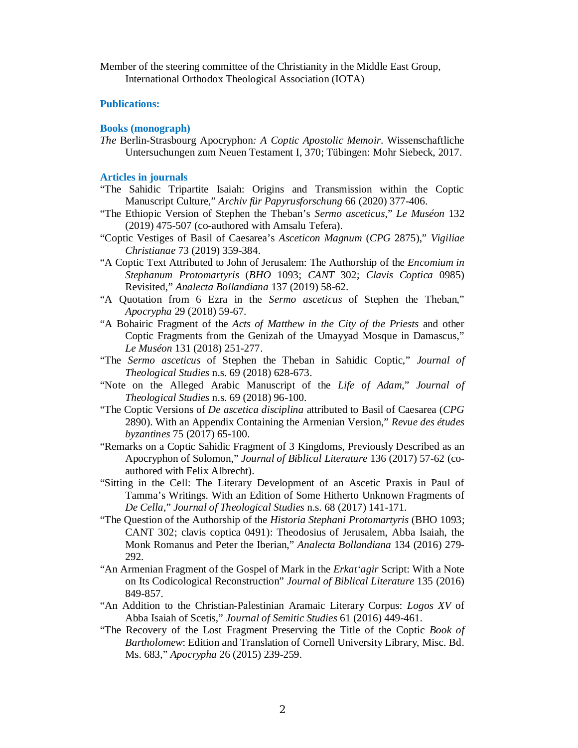Member of the steering committee of the Christianity in the Middle East Group, International Orthodox Theological Association (IOTA)

## **Publications:**

### **Books (monograph)**

*The* Berlin-Strasbourg Apocryphon*: A Coptic Apostolic Memoir*. Wissenschaftliche Untersuchungen zum Neuen Testament I, 370; Tübingen: Mohr Siebeck, 2017.

## **Articles in journals**

- "The Sahidic Tripartite Isaiah: Origins and Transmission within the Coptic Manuscript Culture," *Archiv für Papyrusforschung* 66 (2020) 377-406.
- "The Ethiopic Version of Stephen the Theban's *Sermo asceticus*," *Le Muséon* 132 (2019) 475-507 (co-authored with Amsalu Tefera).
- "Coptic Vestiges of Basil of Caesarea's *Asceticon Magnum* (*CPG* 2875)," *Vigiliae Christianae* 73 (2019) 359-384.
- "A Coptic Text Attributed to John of Jerusalem: The Authorship of the *Encomium in Stephanum Protomartyris* (*BHO* 1093; *CANT* 302; *Clavis Coptica* 0985) Revisited," *Analecta Bollandiana* 137 (2019) 58-62.
- "A Quotation from 6 Ezra in the *Sermo asceticus* of Stephen the Theban," *Apocrypha* 29 (2018) 59-67.
- "A Bohairic Fragment of the *Acts of Matthew in the City of the Priests* and other Coptic Fragments from the Genizah of the Umayyad Mosque in Damascus," *Le Muséon* 131 (2018) 251-277.
- "The *Sermo asceticus* of Stephen the Theban in Sahidic Coptic," *Journal of Theological Studies* n.s. 69 (2018) 628-673.
- "Note on the Alleged Arabic Manuscript of the *Life of Adam*," *Journal of Theological Studies* n.s. 69 (2018) 96-100.
- "The Coptic Versions of *De ascetica disciplina* attributed to Basil of Caesarea (*CPG*  2890). With an Appendix Containing the Armenian Version," *Revue des études byzantines* 75 (2017) 65-100.
- "Remarks on a Coptic Sahidic Fragment of 3 Kingdoms, Previously Described as an Apocryphon of Solomon," *Journal of Biblical Literature* 136 (2017) 57-62 (coauthored with Felix Albrecht).
- "Sitting in the Cell: The Literary Development of an Ascetic Praxis in Paul of Tamma's Writings. With an Edition of Some Hitherto Unknown Fragments of *De Cella*," *Journal of Theological Studies* n.s. 68 (2017) 141-171.
- "The Question of the Authorship of the *Historia Stephani Protomartyris* (BHO 1093; CANT 302; clavis coptica 0491): Theodosius of Jerusalem, Abba Isaiah, the Monk Romanus and Peter the Iberian," *Analecta Bollandiana* 134 (2016) 279- 292.
- "An Armenian Fragment of the Gospel of Mark in the *Erkat'agir* Script: With a Note on Its Codicological Reconstruction" *Journal of Biblical Literature* 135 (2016) 849-857.
- "An Addition to the Christian-Palestinian Aramaic Literary Corpus: *Logos XV* of Abba Isaiah of Scetis," *Journal of Semitic Studies* 61 (2016) 449-461.
- "The Recovery of the Lost Fragment Preserving the Title of the Coptic *Book of Bartholomew*: Edition and Translation of Cornell University Library, Misc. Bd. Ms. 683," *Apocrypha* 26 (2015) 239-259.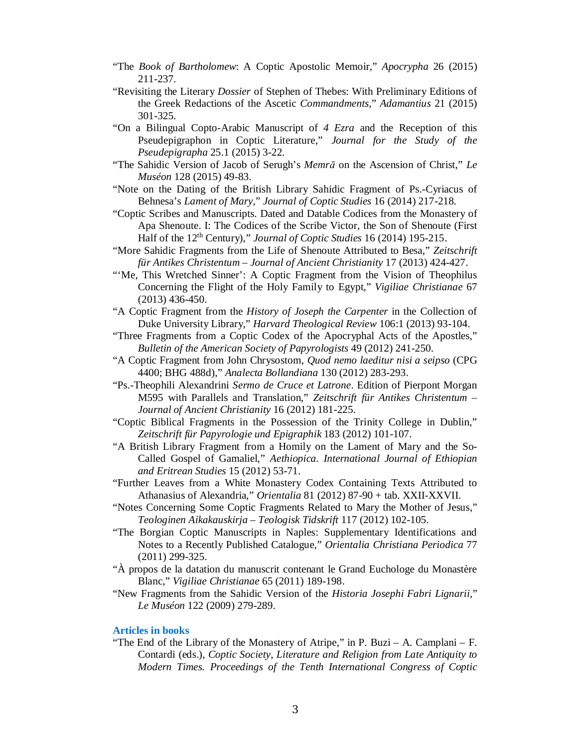- "The *Book of Bartholomew*: A Coptic Apostolic Memoir," *Apocrypha* 26 (2015) 211-237.
- "Revisiting the Literary *Dossier* of Stephen of Thebes: With Preliminary Editions of the Greek Redactions of the Ascetic *Commandments*," *Adamantius* 21 (2015) 301-325.
- "On a Bilingual Copto-Arabic Manuscript of *4 Ezra* and the Reception of this Pseudepigraphon in Coptic Literature," *Journal for the Study of the Pseudepigrapha* 25.1 (2015) 3-22.
- "The Sahidic Version of Jacob of Serugh's *MemrƗ* on the Ascension of Christ," *Le Muséon* 128 (2015) 49-83.
- "Note on the Dating of the British Library Sahidic Fragment of Ps.-Cyriacus of Behnesa's *Lament of Mary*," *Journal of Coptic Studies* 16 (2014) 217-218.
- "Coptic Scribes and Manuscripts. Dated and Datable Codices from the Monastery of Apa Shenoute. I: The Codices of the Scribe Victor, the Son of Shenoute (First Half of the 12th Century)," *Journal of Coptic Studies* 16 (2014) 195-215.
- "More Sahidic Fragments from the Life of Shenoute Attributed to Besa," *Zeitschrift für Antikes Christentum – Journal of Ancient Christianity* 17 (2013) 424-427.
- "'Me, This Wretched Sinner': A Coptic Fragment from the Vision of Theophilus Concerning the Flight of the Holy Family to Egypt," *Vigiliae Christianae* 67 (2013) 436-450.
- "A Coptic Fragment from the *History of Joseph the Carpenter* in the Collection of Duke University Library," *Harvard Theological Review* 106:1 (2013) 93-104.
- "Three Fragments from a Coptic Codex of the Apocryphal Acts of the Apostles," *Bulletin of the American Society of Papyrologists* 49 (2012) 241-250.
- "A Coptic Fragment from John Chrysostom, *Quod nemo laeditur nisi a seipso* (CPG 4400; BHG 488d)," *Analecta Bollandiana* 130 (2012) 283-293.
- "Ps.-Theophili Alexandrini *Sermo de Cruce et Latrone*. Edition of Pierpont Morgan M595 with Parallels and Translation," *Zeitschrift für Antikes Christentum – Journal of Ancient Christianity* 16 (2012) 181-225.
- "Coptic Biblical Fragments in the Possession of the Trinity College in Dublin," *Zeitschrift für Papyrologie und Epigraphik* 183 (2012) 101-107.
- "A British Library Fragment from a Homily on the Lament of Mary and the So-Called Gospel of Gamaliel," *Aethiopica. International Journal of Ethiopian and Eritrean Studies* 15 (2012) 53-71.
- "Further Leaves from a White Monastery Codex Containing Texts Attributed to Athanasius of Alexandria," *Orientalia* 81 (2012) 87-90 + tab. XXII-XXVII.
- "Notes Concerning Some Coptic Fragments Related to Mary the Mother of Jesus," *Teologinen Aikakauskirja – Teologisk Tidskrift* 117 (2012) 102-105.
- "The Borgian Coptic Manuscripts in Naples: Supplementary Identifications and Notes to a Recently Published Catalogue," *Orientalia Christiana Periodica* 77 (2011) 299-325.
- "À propos de la datation du manuscrit contenant le Grand Euchologe du Monastère Blanc," *Vigiliae Christianae* 65 (2011) 189-198.
- "New Fragments from the Sahidic Version of the *Historia Josephi Fabri Lignarii*," *Le Muséon* 122 (2009) 279-289.

### **Articles in books**

"The End of the Library of the Monastery of Atripe," in P. Buzi – A. Camplani – F. Contardi (eds.), *Coptic Society, Literature and Religion from Late Antiquity to Modern Times. Proceedings of the Tenth International Congress of Coptic*